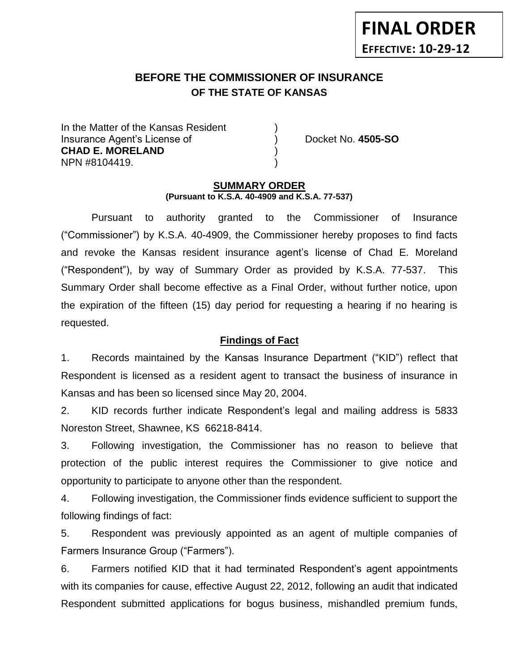# **BEFORE THE COMMISSIONER OF INSURANCE** *-12***OF THE STATE OF KANSAS**

In the Matter of the Kansas Resident Insurance Agent's License of ) Docket No. **4505-SO CHAD E. MORELAND** ) NPN #8104419. )

#### **SUMMARY ORDER (Pursuant to K.S.A. 40-4909 and K.S.A. 77-537)**

Pursuant to authority granted to the Commissioner of Insurance ("Commissioner") by K.S.A. 40-4909, the Commissioner hereby proposes to find facts and revoke the Kansas resident insurance agent's license of Chad E. Moreland ("Respondent"), by way of Summary Order as provided by K.S.A. 77-537. This Summary Order shall become effective as a Final Order, without further notice, upon the expiration of the fifteen (15) day period for requesting a hearing if no hearing is requested.

## **Findings of Fact**

1. Records maintained by the Kansas Insurance Department ("KID") reflect that Respondent is licensed as a resident agent to transact the business of insurance in Kansas and has been so licensed since May 20, 2004.

2. KID records further indicate Respondent's legal and mailing address is 5833 Noreston Street, Shawnee, KS 66218-8414.

3. Following investigation, the Commissioner has no reason to believe that protection of the public interest requires the Commissioner to give notice and opportunity to participate to anyone other than the respondent.

4. Following investigation, the Commissioner finds evidence sufficient to support the following findings of fact:

5. Respondent was previously appointed as an agent of multiple companies of Farmers Insurance Group ("Farmers").

6. Farmers notified KID that it had terminated Respondent's agent appointments with its companies for cause, effective August 22, 2012, following an audit that indicated Respondent submitted applications for bogus business, mishandled premium funds,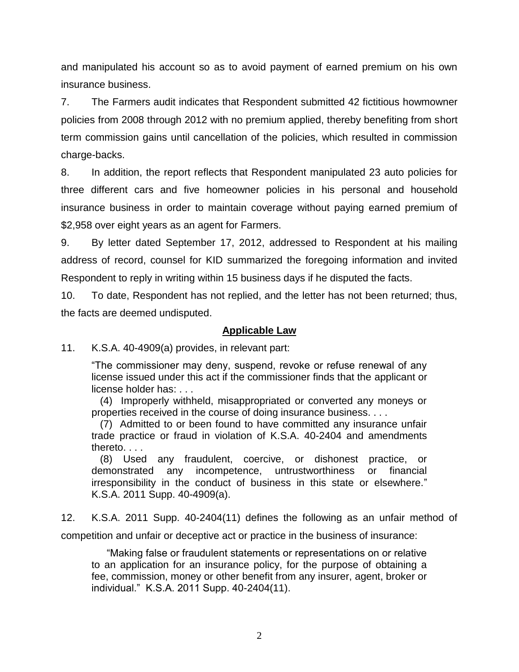and manipulated his account so as to avoid payment of earned premium on his own insurance business.

7. The Farmers audit indicates that Respondent submitted 42 fictitious howmowner policies from 2008 through 2012 with no premium applied, thereby benefiting from short term commission gains until cancellation of the policies, which resulted in commission charge-backs.

8. In addition, the report reflects that Respondent manipulated 23 auto policies for three different cars and five homeowner policies in his personal and household insurance business in order to maintain coverage without paying earned premium of \$2,958 over eight years as an agent for Farmers.

9. By letter dated September 17, 2012, addressed to Respondent at his mailing address of record, counsel for KID summarized the foregoing information and invited Respondent to reply in writing within 15 business days if he disputed the facts.

10. To date, Respondent has not replied, and the letter has not been returned; thus, the facts are deemed undisputed.

### **Applicable Law**

11. K.S.A. 40-4909(a) provides, in relevant part:

"The commissioner may deny, suspend, revoke or refuse renewal of any license issued under this act if the commissioner finds that the applicant or license holder has: . . .

 (4) Improperly withheld, misappropriated or converted any moneys or properties received in the course of doing insurance business. . . .

 (7) Admitted to or been found to have committed any insurance unfair trade practice or fraud in violation of K.S.A. 40-2404 and amendments thereto. . . .

 (8) Used any fraudulent, coercive, or dishonest practice, or demonstrated any incompetence, untrustworthiness or financial irresponsibility in the conduct of business in this state or elsewhere." K.S.A. 2011 Supp. 40-4909(a).

12. K.S.A. 2011 Supp. 40-2404(11) defines the following as an unfair method of

competition and unfair or deceptive act or practice in the business of insurance:

"Making false or fraudulent statements or representations on or relative to an application for an insurance policy, for the purpose of obtaining a fee, commission, money or other benefit from any insurer, agent, broker or individual." K.S.A. 2011 Supp. 40-2404(11).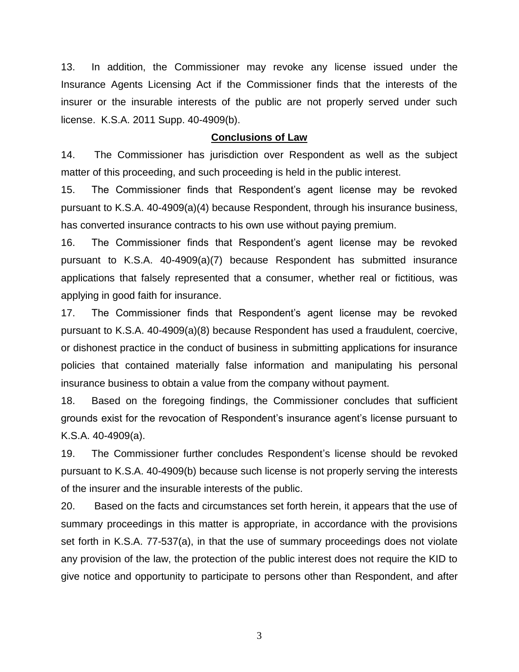13. In addition, the Commissioner may revoke any license issued under the Insurance Agents Licensing Act if the Commissioner finds that the interests of the insurer or the insurable interests of the public are not properly served under such license. K.S.A. 2011 Supp. 40-4909(b).

#### **Conclusions of Law**

14. The Commissioner has jurisdiction over Respondent as well as the subject matter of this proceeding, and such proceeding is held in the public interest.

15. The Commissioner finds that Respondent's agent license may be revoked pursuant to K.S.A. 40-4909(a)(4) because Respondent, through his insurance business, has converted insurance contracts to his own use without paying premium.

16. The Commissioner finds that Respondent's agent license may be revoked pursuant to K.S.A. 40-4909(a)(7) because Respondent has submitted insurance applications that falsely represented that a consumer, whether real or fictitious, was applying in good faith for insurance.

17. The Commissioner finds that Respondent's agent license may be revoked pursuant to K.S.A. 40-4909(a)(8) because Respondent has used a fraudulent, coercive, or dishonest practice in the conduct of business in submitting applications for insurance policies that contained materially false information and manipulating his personal insurance business to obtain a value from the company without payment.

18. Based on the foregoing findings, the Commissioner concludes that sufficient grounds exist for the revocation of Respondent's insurance agent's license pursuant to K.S.A. 40-4909(a).

19. The Commissioner further concludes Respondent's license should be revoked pursuant to K.S.A. 40-4909(b) because such license is not properly serving the interests of the insurer and the insurable interests of the public.

20. Based on the facts and circumstances set forth herein, it appears that the use of summary proceedings in this matter is appropriate, in accordance with the provisions set forth in K.S.A. 77-537(a), in that the use of summary proceedings does not violate any provision of the law, the protection of the public interest does not require the KID to give notice and opportunity to participate to persons other than Respondent, and after

3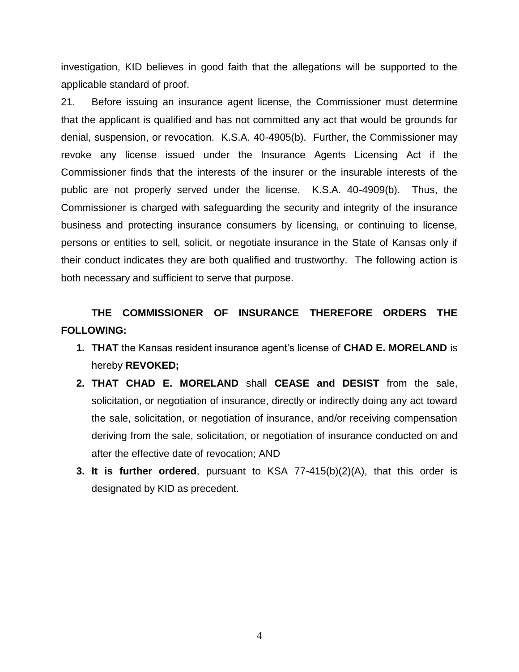investigation, KID believes in good faith that the allegations will be supported to the applicable standard of proof.

21. Before issuing an insurance agent license, the Commissioner must determine that the applicant is qualified and has not committed any act that would be grounds for denial, suspension, or revocation. K.S.A. 40-4905(b). Further, the Commissioner may revoke any license issued under the Insurance Agents Licensing Act if the Commissioner finds that the interests of the insurer or the insurable interests of the public are not properly served under the license. K.S.A. 40-4909(b). Thus, the Commissioner is charged with safeguarding the security and integrity of the insurance business and protecting insurance consumers by licensing, or continuing to license, persons or entities to sell, solicit, or negotiate insurance in the State of Kansas only if their conduct indicates they are both qualified and trustworthy. The following action is both necessary and sufficient to serve that purpose.

## **THE COMMISSIONER OF INSURANCE THEREFORE ORDERS THE FOLLOWING:**

- **1. THAT** the Kansas resident insurance agent's license of **CHAD E. MORELAND** is hereby **REVOKED;**
- **2. THAT CHAD E. MORELAND** shall **CEASE and DESIST** from the sale, solicitation, or negotiation of insurance, directly or indirectly doing any act toward the sale, solicitation, or negotiation of insurance, and/or receiving compensation deriving from the sale, solicitation, or negotiation of insurance conducted on and after the effective date of revocation; AND
- **3. It is further ordered**, pursuant to KSA 77-415(b)(2)(A), that this order is designated by KID as precedent.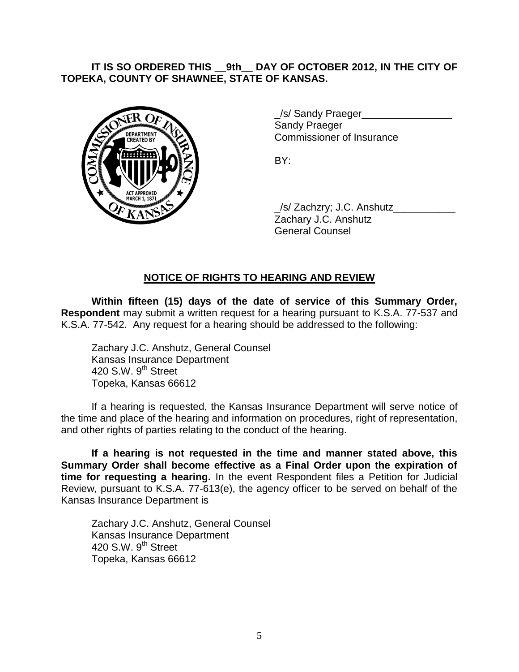## **IT IS SO ORDERED THIS \_\_9th\_\_ DAY OF OCTOBER 2012, IN THE CITY OF TOPEKA, COUNTY OF SHAWNEE, STATE OF KANSAS.**



/s/ Sandy Praeger Sandy Praeger Commissioner of Insurance

BY:

\_/s/ Zachzry; J.C. Anshutz\_\_\_\_\_\_\_\_\_\_\_ Zachary J.C. Anshutz General Counsel

## **NOTICE OF RIGHTS TO HEARING AND REVIEW**

**Within fifteen (15) days of the date of service of this Summary Order, Respondent** may submit a written request for a hearing pursuant to K.S.A. 77-537 and K.S.A. 77-542. Any request for a hearing should be addressed to the following:

Zachary J.C. Anshutz, General Counsel Kansas Insurance Department 420 S.W.  $9<sup>th</sup>$  Street Topeka, Kansas 66612

If a hearing is requested, the Kansas Insurance Department will serve notice of the time and place of the hearing and information on procedures, right of representation, and other rights of parties relating to the conduct of the hearing.

**If a hearing is not requested in the time and manner stated above, this Summary Order shall become effective as a Final Order upon the expiration of time for requesting a hearing.** In the event Respondent files a Petition for Judicial Review, pursuant to K.S.A. 77-613(e), the agency officer to be served on behalf of the Kansas Insurance Department is

Zachary J.C. Anshutz, General Counsel Kansas Insurance Department 420 S.W.  $9<sup>th</sup>$  Street Topeka, Kansas 66612